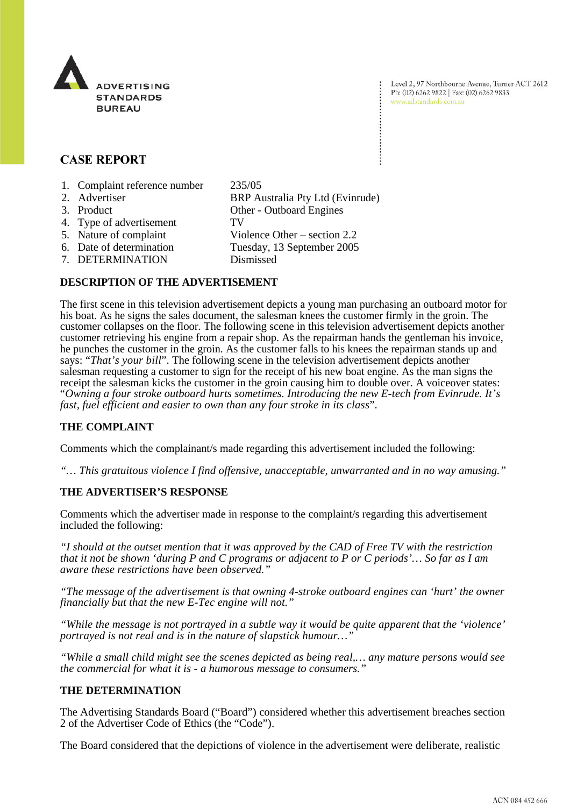

Level 2, 97 Northbourne Avenue, Turner ACT 2612 Ph: (02) 6262 9822 | Fax: (02) 6262 9833 www.adstandards.com.au

# **CASE REPORT**

- 1. Complaint reference number 235/05
- 2. Advertiser BRP Australia Pty Ltd (Evinrude) 3. Product Other - Outboard Engines 4. Type of advertisement TV 5. Nature of complaint Violence Other – section 2.2<br>6. Date of determination Tuesday, 13 September 2005 Tuesday, 13 September 2005 7. DETERMINATION Dismissed

## **DESCRIPTION OF THE ADVERTISEMENT**

The first scene in this television advertisement depicts a young man purchasing an outboard motor for his boat. As he signs the sales document, the salesman knees the customer firmly in the groin. The customer collapses on the floor. The following scene in this television advertisement depicts another customer retrieving his engine from a repair shop. As the repairman hands the gentleman his invoice, he punches the customer in the groin. As the customer falls to his knees the repairman stands up and says: "*That's your bill*". The following scene in the television advertisement depicts another salesman requesting a customer to sign for the receipt of his new boat engine. As the man signs the receipt the salesman kicks the customer in the groin causing him to double over. A voiceover states: "*Owning a four stroke outboard hurts sometimes. Introducing the new E-tech from Evinrude. It's fast, fuel efficient and easier to own than any four stroke in its class*".

## **THE COMPLAINT**

Comments which the complainant/s made regarding this advertisement included the following:

*"… This gratuitous violence I find offensive, unacceptable, unwarranted and in no way amusing."*

### **THE ADVERTISER'S RESPONSE**

Comments which the advertiser made in response to the complaint/s regarding this advertisement included the following:

*"I should at the outset mention that it was approved by the CAD of Free TV with the restriction that it not be shown 'during P and C programs or adjacent to P or C periods'… So far as I am aware these restrictions have been observed."*

*"The message of the advertisement is that owning 4-stroke outboard engines can 'hurt' the owner financially but that the new E-Tec engine will not."*

*"While the message is not portrayed in a subtle way it would be quite apparent that the 'violence' portrayed is not real and is in the nature of slapstick humour…"*

*"While a small child might see the scenes depicted as being real,… any mature persons would see the commercial for what it is - a humorous message to consumers."*

## **THE DETERMINATION**

The Advertising Standards Board ("Board") considered whether this advertisement breaches section 2 of the Advertiser Code of Ethics (the "Code").

The Board considered that the depictions of violence in the advertisement were deliberate, realistic